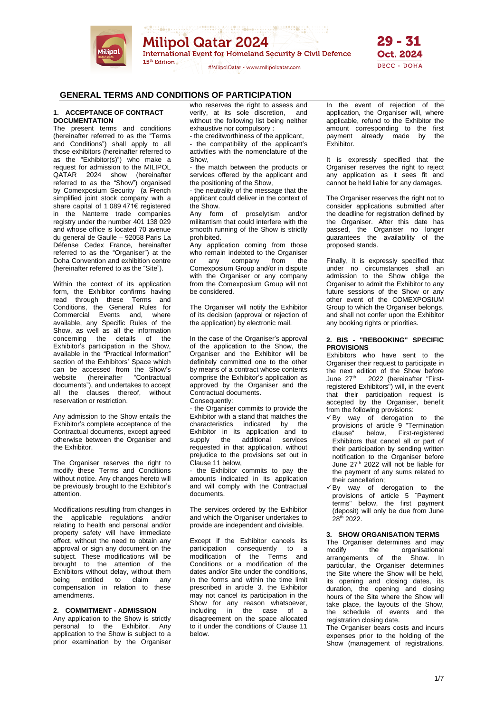

ARTHUR WARD TO BE A STREET **Milipol Qatar 2024** International Event for Homeland Security & Civil Defence 15<sup>th</sup> Edition

#MilipolQatar - www.milipolqatar.com



# **GENERAL TERMS AND CONDITIONS OF PARTICIPATION**

### **1. ACCEPTANCE OF CONTRACT DOCUMENTATION**

The present terms and conditions (hereinafter referred to as the "Terms and Conditions") shall apply to all those exhibitors (hereinafter referred to as the "Exhibitor(s)") who make a request for admission to the MILIPOL QATAR 2024 show (hereinafter referred to as the "Show") organised by Comexposium Security (a French simplified joint stock company with a share capital of 1 089 471€ registered in the Nanterre trade companies registry under the number 401 138 029 and whose office is located 70 avenue du general de Gaulle – 92058 Paris La Défense Cedex France*,* hereinafter referred to as the "Organiser") at the Doha Convention and exhibition centre (hereinafter referred to as the "Site").

Within the context of its application form, the Exhibitor confirms having read through these Terms and Conditions, the General Rules for Commercial Events and, where available, any Specific Rules of the Show, as well as all the information concerning the details of the Exhibitor's participation in the Show, available in the "Practical Information" section of the Exhibitors' Space which can be accessed from the Show's website (hereinafter "Contractual documents"), and undertakes to accept all the clauses thereof, without reservation or restriction.

Any admission to the Show entails the Exhibitor's complete acceptance of the Contractual documents, except agreed otherwise between the Organiser and the Exhibitor.

The Organiser reserves the right to modify these Terms and Conditions without notice. Any changes hereto will be previously brought to the Exhibitor's attention.

Modifications resulting from changes in the applicable regulations and/or relating to health and personal and/or property safety will have immediate effect, without the need to obtain any approval or sign any document on the subject. These modifications will be brought to the attention of the Exhibitors without delay, without them being entitled to claim any compensation in relation to these amendments.

#### **2. COMMITMENT - ADMISSION**

Any application to the Show is strictly personal to the Exhibitor. Any application to the Show is subject to a prior examination by the Organiser

who reserves the right to assess and verify, at its sole discretion, and without the following list being neither exhaustive nor compulsory :

- the creditworthiness of the applicant,

- the compatibility of the applicant's activities with the nomenclature of the Show,

- the match between the products or services offered by the applicant and the positioning of the Show,

- the neutrality of the message that the applicant could deliver in the context of the Show.

Any form of proselytism and/or militantism that could interfere with the smooth running of the Show is strictly prohibited.

Any application coming from those who remain indebted to the Organiser or any company from the Comexposium Group and/or in dispute with the Organiser or any company from the Comexposium Group will not be considered.

The Organiser will notify the Exhibitor of its decision (approval or rejection of the application) by electronic mail.

In the case of the Organiser's approval of the application to the Show, the Organiser and the Exhibitor will be definitely committed one to the other by means of a contract whose contents comprise the Exhibitor's application as approved by the Organiser and the Contractual documents. Consequently:

- the Organiser commits to provide the Exhibitor with a stand that matches the characteristics indicated by the Exhibitor in its application and to supply the additional services requested in that application, without prejudice to the provisions set out in Clause 11 below,

- the Exhibitor commits to pay the amounts indicated in its application and will comply with the Contractual documents.

The services ordered by the Exhibitor and which the Organiser undertakes to provide are independent and divisible.

Except if the Exhibitor cancels its participation consequently to a modification of the Terms and Conditions or a modification of the dates and/or Site under the conditions, in the forms and within the time limit prescribed in article 3, the Exhibitor may not cancel its participation in the Show for any reason whatsoever, including in the case of a disagreement on the space allocated to it under the conditions of Clause 11 below.

In the event of rejection of the application, the Organiser will, where applicable, refund to the Exhibitor the amount corresponding to the first payment already made by the Exhibitor.

It is expressly specified that the Organiser reserves the right to reject any application as it sees fit and cannot be held liable for any damages.

The Organiser reserves the right not to consider applications submitted after the deadline for registration defined by the Organiser. After this date has passed, the Organiser no longer guarantees the availability of the proposed stands.

Finally, it is expressly specified that under no circumstances shall an admission to the Show oblige the Organiser to admit the Exhibitor to any future sessions of the Show or any other event of the COMEXPOSIUM Group to which the Organiser belongs, and shall not confer upon the Exhibitor any booking rights or priorities.

### **2. BIS - "REBOOKING" SPECIFIC PROVISIONS**

Exhibitors who have sent to the Organiser their request to participate in the next edition of the Show before<br>June 27<sup>th</sup> 2022 (hereinafter "First-2022 (hereinafter "Firstregistered Exhibitors") will, in the event that their participation request is accepted by the Organiser, benefit from the following provisions:

- $\nabla$ By way of derogation to the provisions of article 9 "Termination clause" below, First-registered Exhibitors that cancel all or part of their participation by sending written notification to the Organiser before June 27<sup>th</sup> 2022 will not be liable for the payment of any sums related to their cancellation;
- ✓By way of derogation to the provisions of article 5 ¨Payment terms" below, the first payment (deposit) will only be due from June 28th 2022.

# **3. SHOW ORGANISATION TERMS**

The Organiser determines and may<br>modify the organisational organisational arrangements of the Show. In particular, the Organiser determines the Site where the Show will be held, its opening and closing dates, its duration, the opening and closing hours of the Site where the Show will take place, the layouts of the Show, the schedule of events and the registration closing date.

The Organiser bears costs and incurs expenses prior to the holding of the Show (management of registrations,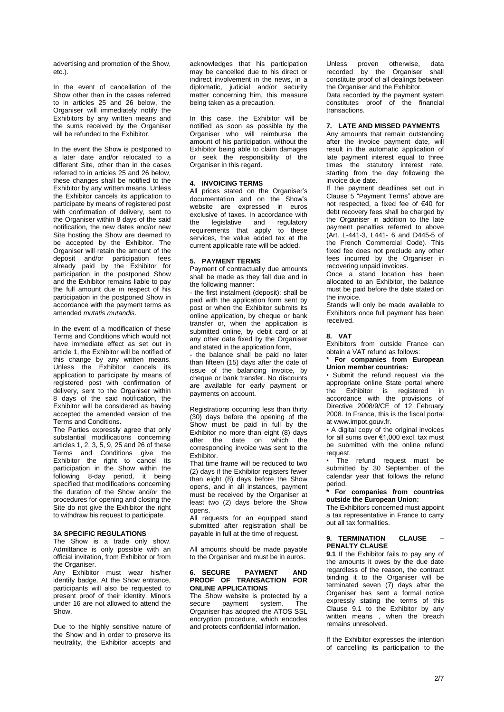advertising and promotion of the Show, etc.).

In the event of cancellation of the Show other than in the cases referred to in articles 25 and 26 below, the Organiser will immediately notify the Exhibitors by any written means and the sums received by the Organiser will be refunded to the Exhibitor.

In the event the Show is postponed to a later date and/or relocated to a different Site, other than in the cases referred to in articles 25 and 26 below, these changes shall be notified to the Exhibitor by any written means. Unless the Exhibitor cancels its application to participate by means of registered post with confirmation of delivery, sent to the Organiser within 8 days of the said notification, the new dates and/or new Site hosting the Show are deemed to be accepted by the Exhibitor. The Organiser will retain the amount of the deposit and/or participation fees already paid by the Exhibitor for participation in the postponed Show and the Exhibitor remains liable to pay the full amount due in respect of his participation in the postponed Show in accordance with the payment terms as amended *mutatis mutandis*.

In the event of a modification of these Terms and Conditions which would not have immediate effect as set out in article 1, the Exhibitor will be notified of this change by any written means. Unless the Exhibitor cancels its application to participate by means of registered post with confirmation of delivery, sent to the Organiser within 8 days of the said notification, the Exhibitor will be considered as having accepted the amended version of the Terms and Conditions.

The Parties expressly agree that only substantial modifications concerning articles 1, 2, 3, 5, 9, 25 and 26 of these Terms and Conditions give the Exhibitor the right to cancel its participation in the Show within the following 8-day period, it being specified that modifications concerning the duration of the Show and/or the procedures for opening and closing the Site do not give the Exhibitor the right to withdraw his request to participate.

#### **3A SPECIFIC REGULATIONS**

The Show is a trade only show. Admittance is only possible with an official invitation, from Exhibitor or from the Organiser.

Any Exhibitor must wear his/her identify badge. At the Show entrance, participants will also be requested to present proof of their identity. Minors under 16 are not allowed to attend the Show.

Due to the highly sensitive nature of the Show and in order to preserve its neutrality, the Exhibitor accepts and

acknowledges that his participation may be cancelled due to his direct or indirect involvement in the news, in a diplomatic, judicial and/or security matter concerning him, this measure being taken as a precaution.

In this case, the Exhibitor will be notified as soon as possible by the Organiser who will reimburse the amount of his participation, without the Exhibitor being able to claim damages or seek the responsibility of the Organiser in this regard.

### **4. INVOICING TERMS**

All prices stated on the Organiser's documentation and on the Show's website are expressed in euros exclusive of taxes. In accordance with the legislative and regulatory requirements that apply to these services, the value added tax at the current applicable rate will be added.

#### **5. PAYMENT TERMS**

Payment of contractually due amounts shall be made as they fall due and in the following manner:

- the first instalment (deposit): shall be paid with the application form sent by post or when the Exhibitor submits its online application, by cheque or bank transfer or, when the application is submitted online, by debit card or at any other date fixed by the Organiser and stated in the application form,

the balance shall be paid no later than fifteen (15) days after the date of issue of the balancing invoice, by cheque or bank transfer. No discounts are available for early payment or payments on account.

Registrations occurring less than thirty (30) days before the opening of the Show must be paid in full by the Exhibitor no more than eight (8) days after the date on which the corresponding invoice was sent to the Exhibitor.

That time frame will be reduced to two (2) days if the Exhibitor registers fewer than eight (8) days before the Show opens, and in all instances, payment must be received by the Organiser at least two (2) days before the Show opens.

All requests for an equipped stand submitted after registration shall be payable in full at the time of request.

All amounts should be made payable to the Organiser and must be in euros.

### **6. SECURE PAYMENT AND PROOF OF TRANSACTION FOR ONLINE APPLICATIONS**

The Show website is protected by a<br>secure payment system. The secure payment system. The Organiser has adopted the ATOS SSL encryption procedure, which encodes and protects confidential information.

Unless proven otherwise, data recorded by the Organiser shall constitute proof of all dealings between the Organiser and the Exhibitor.

Data recorded by the payment system constitutes proof of the financial transactions.

#### **7. LATE AND MISSED PAYMENTS**

Any amounts that remain outstanding after the invoice payment date, will result in the automatic application of late payment interest equal to three times the statutory interest rate, starting from the day following the invoice due date.

If the payment deadlines set out in Clause 5 "Payment Terms" above are not respected, a fixed fee of €40 for debt recovery fees shall be charged by the Organiser in addition to the late payment penalties referred to above (Art. L-441-3, L441- 6 and D445-5 of the French Commercial Code). This fixed fee does not preclude any other fees incurred by the Organiser in recovering unpaid invoices.

Once a stand location has been allocated to an Exhibitor, the balance must be paid before the date stated on the invoice.

Stands will only be made available to Exhibitors once full payment has been received.

#### **8. VAT**

Exhibitors from outside France can obtain a VAT refund as follows:

### **\* For companies from European Union member countries:**

• Submit the refund request via the appropriate online State portal where the Exhibitor is registered in accordance with the provisions of Directive 2008/9/CE of 12 February 2008. In France, this is the fiscal portal at www.impot.gouv.fr.

• A digital copy of the original invoices for all sums over €1,000 excl. tax must be submitted with the online refund request.

The refund request must be submitted by 30 September of the calendar year that follows the refund period.

**\* For companies from countries outside the European Union:**

The Exhibitors concerned must appoint a tax representative in France to carry out all tax formalities.

#### **9. TERMINATION CLAUSE – PENALTY CLAUSE**

**9.1** If the Exhibitor fails to pay any of the amounts it owes by the due date regardless of the reason, the contract binding it to the Organiser will be terminated seven (7) days after the Organiser has sent a formal notice expressly stating the terms of this Clause 9.1 to the Exhibitor by any written means , when the breach remains unresolved.

If the Exhibitor expresses the intention of cancelling its participation to the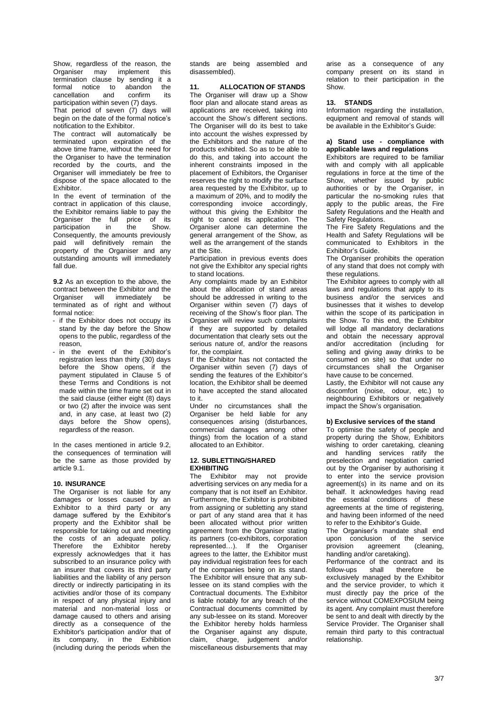Show, regardless of the reason, the Organiser may implement this termination clause by sending it a formal notice to abandon the<br>cancellation and confirm its cancellation and confirm its participation within seven (7) days.

That period of seven (7) days will begin on the date of the formal notice's notification to the Exhibitor.

The contract will automatically be terminated upon expiration of the above time frame, without the need for the Organiser to have the termination recorded by the courts, and the Organiser will immediately be free to dispose of the space allocated to the **Exhibitor** 

In the event of termination of the contract in application of this clause, the Exhibitor remains liable to pay the Organiser the full price of its<br>participation in the Show. participation Consequently, the amounts previously paid will definitively remain the property of the Organiser and any outstanding amounts will immediately fall due.

**9.2** As an exception to the above, the contract between the Exhibitor and the Organiser will immediately be terminated as of right and without formal notice:

- if the Exhibitor does not occupy its stand by the day before the Show opens to the public, regardless of the reason,
- in the event of the Exhibitor's registration less than thirty (30) days before the Show opens, if the payment stipulated in Clause 5 of these Terms and Conditions is not made within the time frame set out in the said clause (either eight (8) days or two (2) after the invoice was sent and, in any case, at least two (2) days before the Show opens), regardless of the reason.

In the cases mentioned in article 9.2, the consequences of termination will be the same as those provided by article 9.1.

### **10. INSURANCE**

The Organiser is not liable for any damages or losses caused by an Exhibitor to a third party or any damage suffered by the Exhibitor's property and the Exhibitor shall be responsible for taking out and meeting the costs of an adequate policy. Therefore the Exhibitor hereby expressly acknowledges that it has subscribed to an insurance policy with an insurer that covers its third party liabilities and the liability of any person directly or indirectly participating in its activities and/or those of its company in respect of any physical injury and material and non-material loss or damage caused to others and arising directly as a consequence of the Exhibitor's participation and/or that of its company, in the Exhibition (including during the periods when the stands are being assembled and disassembled).

### **11. ALLOCATION OF STANDS**

The Organiser will draw up a Show floor plan and allocate stand areas as applications are received, taking into account the Show's different sections. The Organiser will do its best to take into account the wishes expressed by the Exhibitors and the nature of the products exhibited. So as to be able to do this, and taking into account the inherent constraints imposed in the placement of Exhibitors, the Organiser reserves the right to modify the surface area requested by the Exhibitor, up to a maximum of 20%, and to modify the corresponding invoice accordingly, without this giving the Exhibitor the right to cancel its application. The Organiser alone can determine the general arrangement of the Show, as well as the arrangement of the stands at the Site.

Participation in previous events does not give the Exhibitor any special rights to stand locations.

Any complaints made by an Exhibitor about the allocation of stand areas should be addressed in writing to the Organiser within seven (7) days of receiving of the Show's floor plan. The Organiser will review such complaints if they are supported by detailed documentation that clearly sets out the serious nature of, and/or the reasons for, the complaint.

If the Exhibitor has not contacted the Organiser within seven (7) days of sending the features of the Exhibitor's location, the Exhibitor shall be deemed to have accepted the stand allocated to it.

Under no circumstances shall the Organiser be held liable for any consequences arising (disturbances, commercial damages among other things) from the location of a stand allocated to an Exhibitor.

#### **12. SUBLETTING/SHARED EXHIBITING**

The Exhibitor may not provide advertising services on any media for a company that is not itself an Exhibitor. Furthermore, the Exhibitor is prohibited from assigning or subletting any stand or part of any stand area that it has been allocated without prior written agreement from the Organiser stating its partners (co-exhibitors, corporation represented…). If the Organiser agrees to the latter, the Exhibitor must pay individual registration fees for each of the companies being on its stand. The Exhibitor will ensure that any sublessee on its stand complies with the Contractual documents. The Exhibitor is liable notably for any breach of the Contractual documents committed by any sub-lessee on its stand. Moreover the Exhibitor hereby holds harmless the Organiser against any dispute, claim, charge, judgement and/or miscellaneous disbursements that may

arise as a consequence of any company present on its stand in relation to their participation in the Show.

#### **13. STANDS**

Information regarding the installation, equipment and removal of stands will be available in the Exhibitor's Guide:

#### **a) Stand use - compliance with applicable laws and regulations**

Exhibitors are required to be familiar with and comply with all applicable regulations in force at the time of the Show, whether issued by public authorities or by the Organiser, in particular the no-smoking rules that apply to the public areas, the Fire Safety Regulations and the Health and Safety Regulations.

The Fire Safety Regulations and the Health and Safety Regulations will be communicated to Exhibitors in the Exhibitor's Guide.

The Organiser prohibits the operation of any stand that does not comply with these regulations.

The Exhibitor agrees to comply with all laws and regulations that apply to its business and/or the services and businesses that it wishes to develop within the scope of its participation in the Show. To this end, the Exhibitor will lodge all mandatory declarations and obtain the necessary approval and/or accreditation (including for selling and giving away drinks to be consumed on site) so that under no circumstances shall the Organiser have cause to be concerned.

Lastly, the Exhibitor will not cause any discomfort (noise, odour, etc.) to neighbouring Exhibitors or negatively impact the Show's organisation.

#### **b) Exclusive services of the stand**

To optimise the safety of people and property during the Show, Exhibitors wishing to order caretaking, cleaning and handling services ratify the preselection and negotiation carried out by the Organiser by authorising it to enter into the service provision agreement(s) in its name and on its behalf. It acknowledges having read the essential conditions of these agreements at the time of registering, and having been informed of the need to refer to the Exhibitor's Guide.

The Organiser's mandate shall end upon conclusion of the service<br>provision agreement (cleaning, agreement handling and/or caretaking).

Performance of the contract and its<br>follow-ups shall therefore be follow-ups shall therefore be exclusively managed by the Exhibitor and the service provider, to which it must directly pay the price of the service without COMEXPOSIUM being its agent. Any complaint must therefore be sent to and dealt with directly by the Service Provider. The Organiser shall remain third party to this contractual relationship.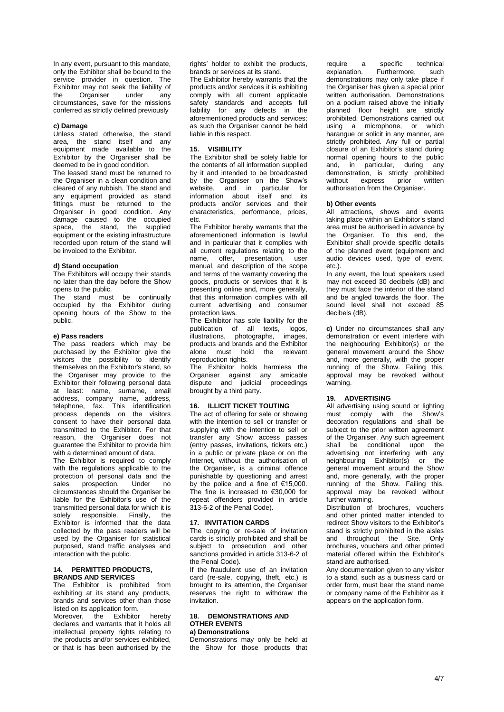In any event, pursuant to this mandate, only the Exhibitor shall be bound to the service provider in question. The Exhibitor may not seek the liability of the Organiser under any circumstances, save for the missions conferred as strictly defined previously

### **c) Damage**

Unless stated otherwise, the stand area, the stand itself and any equipment made available to the Exhibitor by the Organiser shall be deemed to be in good condition.

The leased stand must be returned to the Organiser in a clean condition and cleared of any rubbish. The stand and any equipment provided as stand fittings must be returned to the Organiser in good condition. Any damage caused to the occupied space, the stand, the supplied equipment or the existing infrastructure recorded upon return of the stand will be invoiced to the Exhibitor.

#### **d) Stand occupation**

The Exhibitors will occupy their stands no later than the day before the Show opens to the public.

The stand must be continually occupied by the Exhibitor during opening hours of the Show to the public.

#### **e) Pass readers**

The pass readers which may be purchased by the Exhibitor give the visitors the possibility to identify themselves on the Exhibitor's stand, so the Organiser may provide to the Exhibitor their following personal data at least: name, surname, email address, company name, address, telephone, fax. This identification process depends on the visitors consent to have their personal data transmitted to the Exhibitor. For that reason, the Organiser does not guarantee the Exhibitor to provide him with a determined amount of data.

The Exhibitor is required to comply with the regulations applicable to the protection of personal data and the<br>sales prospection. Under no prospection. circumstances should the Organiser be liable for the Exhibitor's use of the transmitted personal data for which it is solely responsible. Finally, the Exhibitor is informed that the data collected by the pass readers will be used by the Organiser for statistical purposed, stand traffic analyses and interaction with the public.

# **14. PERMITTED PRODUCTS, BRANDS AND SERVICES**

The Exhibitor is prohibited from exhibiting at its stand any products, brands and services other than those listed on its application form. Moreover, the Exhibitor hereby declares and warrants that it holds all

intellectual property rights relating to the products and/or services exhibited, or that is has been authorised by the rights' holder to exhibit the products, brands or services at its stand.

The Exhibitor hereby warrants that the products and/or services it is exhibiting comply with all current applicable safety standards and accepts full liability for any defects in the aforementioned products and services; as such the Organiser cannot be held liable in this respect.

#### **15. VISIBILITY**

The Exhibitor shall be solely liable for the contents of all information supplied by it and intended to be broadcasted by the Organiser on the Show's website, and in particular for information about itself and its products and/or services and their characteristics, performance, prices, etc.

The Exhibitor hereby warrants that the aforementioned information is lawful and in particular that it complies with all current regulations relating to the name, offer, presentation, user manual, and description of the scope and terms of the warranty covering the goods, products or services that it is presenting online and, more generally, that this information complies with all current advertising and consumer protection laws.

The Exhibitor has sole liability for the publication of all texts, logos, illustrations, photographs, images, products and brands and the Exhibitor alone must hold the relevant reproduction rights.

The Exhibitor holds harmless the Organiser against any amicable dispute and judicial proceedings brought by a third party.

#### **16. ILLICIT TICKET TOUTING**

The act of offering for sale or showing with the intention to sell or transfer or supplying with the intention to sell or transfer any Show access passes (entry passes, invitations, tickets etc.) in a public or private place or on the Internet, without the authorisation of the Organiser, is a criminal offence punishable by questioning and arrest by the police and a fine of €15,000. The fine is increased to €30,000 for repeat offenders provided in article 313-6-2 of the Penal Code).

### **17. INVITATION CARDS**

The copying or re-sale of invitation cards is strictly prohibited and shall be subject to prosecution and other sanctions provided in article 313-6-2 of the Penal Code).

If the fraudulent use of an invitation card (re-sale, copying, theft, etc.) is brought to its attention, the Organiser reserves the right to withdraw the invitation.

#### **18. DEMONSTRATIONS AND OTHER EVENTS a) Demonstrations**

Demonstrations may only be held at the Show for those products that require a specific technical<br>explanation. Furthermore. such Furthermore, such demonstrations may only take place if the Organiser has given a special prior written authorisation. Demonstrations on a podium raised above the initially planned floor height are strictly prohibited. Demonstrations carried out using a microphone, or which harangue or solicit in any manner, are strictly prohibited. Any full or partial closure of an Exhibitor's stand during normal opening hours to the public and, in particular, during any demonstration, is strictly prohibited<br>without express prior written without express prior authorisation from the Organiser.

#### **b) Other events**

All attractions, shows and events taking place within an Exhibitor's stand area must be authorised in advance by the Organiser. To this end, the Exhibitor shall provide specific details of the planned event (equipment and audio devices used, type of event, etc.).

In any event, the loud speakers used may not exceed 30 decibels (dB) and they must face the interior of the stand and be angled towards the floor. The sound level shall not exceed 85 decibels (dB).

**c)** Under no circumstances shall any demonstration or event interfere with the neighbouring Exhibitor(s) or the general movement around the Show and, more generally, with the proper running of the Show. Failing this, approval may be revoked without warning.

### **19. ADVERTISING**

All advertising using sound or lighting must comply with the Show's decoration regulations and shall be subject to the prior written agreement of the Organiser. Any such agreement shall be conditional upon the advertising not interfering with any neighbouring Exhibitor(s) or the general movement around the Show and, more generally, with the proper running of the Show. Failing this, approval may be revoked without further warning.

Distribution of brochures, vouchers and other printed matter intended to redirect Show visitors to the Exhibitor's stand is strictly prohibited in the aisles and throughout the Site. Only brochures, vouchers and other printed material offered within the Exhibitor's stand are authorised.

Any documentation given to any visitor to a stand, such as a business card or order form, must bear the stand name or company name of the Exhibitor as it appears on the application form.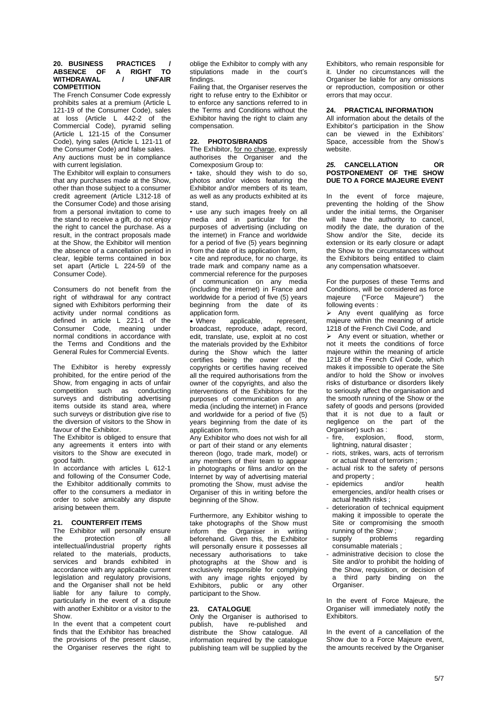### **20. BUSINESS PRACTICES / ABSENCE OF A RIGHT TO WITHDRAWAL / UNFAIR COMPETITION**

The French Consumer Code expressly prohibits sales at a premium (Article L 121-19 of the Consumer Code), sales at loss (Article L 442-2 of the Commercial Code), pyramid selling (Article L 121-15 of the Consumer Code), tying sales (Article L 121-11 of the Consumer Code) and false sales. Any auctions must be in compliance

with current legislation. The Exhibitor will explain to consumers that any purchases made at the Show, other than those subject to a consumer credit agreement (Article L312-18 of the Consumer Code) and those arising from a personal invitation to come to the stand to receive a gift, do not enjoy the right to cancel the purchase. As a result, in the contract proposals made at the Show, the Exhibitor will mention the absence of a cancellation period in clear, legible terms contained in box set apart (Article L 224-59 of the Consumer Code).

Consumers do not benefit from the right of withdrawal for any contract signed with Exhibitors performing their activity under normal conditions as defined in article L 221-1 of the Consumer Code, meaning under normal conditions in accordance with the Terms and Conditions and the General Rules for Commercial Events.

The Exhibitor is hereby expressly prohibited, for the entire period of the Show, from engaging in acts of unfair competition such as conducting surveys and distributing advertising items outside its stand area, where such surveys or distribution give rise to the diversion of visitors to the Show in favour of the Exhibitor.

The Exhibitor is obliged to ensure that any agreements it enters into with visitors to the Show are executed in good faith.

In accordance with articles L 612-1 and following of the Consumer Code, the Exhibitor additionally commits to offer to the consumers a mediator in order to solve amicably any dispute arising between them.

### **21. COUNTERFEIT ITEMS**

The Exhibitor will personally ensure the protection of all intellectual/industrial property rights related to the materials, products, services and brands exhibited in accordance with any applicable current legislation and regulatory provisions, and the Organiser shall not be held liable for any failure to comply, particularly in the event of a dispute with another Exhibitor or a visitor to the Show.

In the event that a competent court finds that the Exhibitor has breached the provisions of the present clause, the Organiser reserves the right to

oblige the Exhibitor to comply with any stipulations made in the court's findings.

Failing that, the Organiser reserves the right to refuse entry to the Exhibitor or to enforce any sanctions referred to in the Terms and Conditions without the Exhibitor having the right to claim any compensation.

#### **22. PHOTOS/BRANDS**

The Exhibitor, for no charge, expressly authorises the Organiser and the Comexposium Group to:

• take, should they wish to do so, photos and/or videos featuring the Exhibitor and/or members of its team, as well as any products exhibited at its stand,

• use any such images freely on all media and in particular for the purposes of advertising (including on the internet) in France and worldwide for a period of five (5) years beginning from the date of its application form,

• cite and reproduce, for no charge, its trade mark and company name as a commercial reference for the purposes of communication on any media (including the internet) in France and worldwide for a period of five (5) years beginning from the date of its application form.

• Where applicable, represent, broadcast, reproduce, adapt, record, edit, translate, use, exploit at no cost the materials provided by the Exhibitor during the Show which the latter certifies being the owner of the copyrights or certifies having received all the required authorisations from the owner of the copyrights, and also the interventions of the Exhibitors for the purposes of communication on any media (including the internet) in France and worldwide for a period of five (5) years beginning from the date of its application form.

Any Exhibitor who does not wish for all or part of their stand or any elements thereon (logo, trade mark, model) or any members of their team to appear in photographs or films and/or on the Internet by way of advertising material promoting the Show, must advise the Organiser of this in writing before the beginning of the Show.

Furthermore, any Exhibitor wishing to take photographs of the Show must inform the Organiser in writing beforehand. Given this, the Exhibitor will personally ensure it possesses all necessary authorisations to take photographs at the Show and is exclusively responsible for complying with any image rights enjoyed by Exhibitors, public or any other participant to the Show.

# **23. CATALOGUE**

Only the Organiser is authorised to publish, have re-published and distribute the Show catalogue. All information required by the catalogue publishing team will be supplied by the

Exhibitors, who remain responsible for it. Under no circumstances will the Organiser be liable for any omissions or reproduction, composition or other errors that may occur.

### **24. PRACTICAL INFORMATION**

All information about the details of the Exhibitor's participation in the Show can be viewed in the Exhibitors' Space, accessible from the Show's website.

#### *25.* **CANCELLATION OR POSTPONEMENT OF THE SHOW DUE TO A FORCE MAJEURE EVENT**

In the event of force majeure, preventing the holding of the Show under the initial terms, the Organiser will have the authority to cancel, modify the date, the duration of the Show and/or the Site, decide its extension or its early closure or adapt the Show to the circumstances without the Exhibitors being entitled to claim any compensation whatsoever.

For the purposes of these Terms and Conditions, will be considered as force majeure ("Force Majeure") the following events :

➢ Any event qualifying as force majeure within the meaning of article 1218 of the French Civil Code, and

➢ Any event or situation, whether or not it meets the conditions of force majeure within the meaning of article 1218 of the French Civil Code, which makes it impossible to operate the Site and/or to hold the Show or involves risks of disturbance or disorders likely to seriously affect the organisation and the smooth running of the Show or the safety of goods and persons (provided that it is not due to a fault or negligence on the part of the Organiser) such as :

- fire, explosion, flood, storm, lightning, natural disaster ;
- riots, strikes, wars, acts of terrorism
- or actual threat of terrorism ; actual risk to the safety of persons and property ;
- epidemics and/or health emergencies, and/or health crises or actual health risks ;
- deterioration of technical equipment making it impossible to operate the Site or compromising the smooth running of the Show ;
- supply problems regarding consumable materials ;
- administrative decision to close the Site and/or to prohibit the holding of the Show, requisition, or decision of a third party binding on the Organiser.

In the event of Force Majeure, the Organiser will immediately notify the Exhibitors.

In the event of a cancellation of the Show due to a Force Majeure event, the amounts received by the Organiser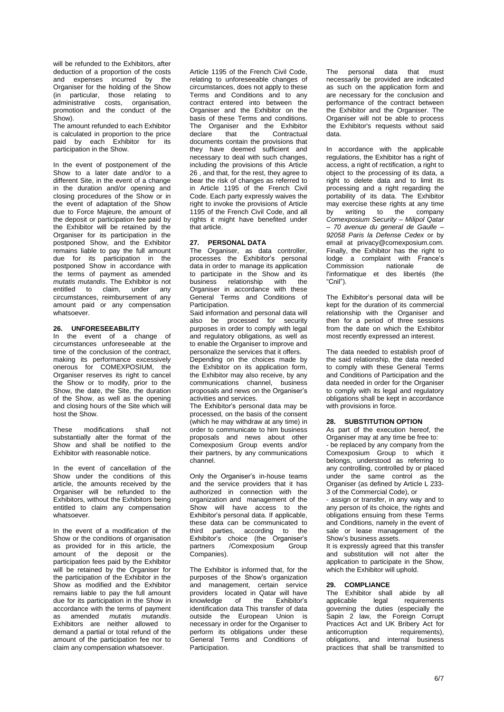will be refunded to the Exhibitors, after deduction of a proportion of the costs and expenses incurred by the Organiser for the holding of the Show (in particular, those relating to administrative costs, organisation, promotion and the conduct of the Show).

The amount refunded to each Exhibitor is calculated in proportion to the price paid by each Exhibitor for its participation in the Show.

In the event of postponement of the Show to a later date and/or to a different Site, in the event of a change in the duration and/or opening and closing procedures of the Show or in the event of adaptation of the Show due to Force Majeure, the amount of the deposit or participation fee paid by the Exhibitor will be retained by the Organiser for its participation in the postponed Show, and the Exhibitor remains liable to pay the full amount due for its participation in the postponed Show in accordance with the terms of payment as amended *mutatis mutandis*. The Exhibitor is not entitled to claim, under any circumstances, reimbursement of any amount paid or any compensation whatsoever.

### **26. UNFORESEEABILITY**

In the event of a change of circumstances unforeseeable at the time of the conclusion of the contract, making its performance excessively onerous for COMEXPOSIUM, the Organiser reserves its right to cancel the Show or to modify, prior to the Show, the date, the Site, the duration of the Show, as well as the opening and closing hours of the Site which will host the Show.

These modifications shall not substantially alter the format of the Show and shall be notified to the Exhibitor with reasonable notice.

In the event of cancellation of the Show under the conditions of this article, the amounts received by the Organiser will be refunded to the Exhibitors, without the Exhibitors being entitled to claim any compensation whatsoever.

In the event of a modification of the Show or the conditions of organisation as provided for in this article, the amount of the deposit or the participation fees paid by the Exhibitor will be retained by the Organiser for the participation of the Exhibitor in the Show as modified and the Exhibitor remains liable to pay the full amount due for its participation in the Show in accordance with the terms of payment as amended *mutatis mutandis*. Exhibitors are neither allowed to demand a partial or total refund of the amount of the participation fee nor to claim any compensation whatsoever.

Article 1195 of the French Civil Code, relating to unforeseeable changes of circumstances, does not apply to these Terms and Conditions and to any contract entered into between the Organiser and the Exhibitor on the basis of these Terms and conditions. The Organiser and the Exhibitor<br>declare that the Contractual Contractual documents contain the provisions that they have deemed sufficient and necessary to deal with such changes, including the provisions of this Article 26 , and that, for the rest, they agree to bear the risk of changes as referred to in Article 1195 of the French Civil Code. Each party expressly waives the right to invoke the provisions of Article 1195 of the French Civil Code, and all rights it might have benefited under that article.

### **27. PERSONAL DATA**

The Organiser, as data controller, processes the Exhibitor's personal data in order to manage its application to participate in the Show and its business relationship with the Organiser in accordance with these General Terms and Conditions of Participation

Said information and personal data will also be processed for security purposes in order to comply with legal and regulatory obligations, as well as to enable the Organiser to improve and personalize the services that it offers.

Depending on the choices made by the Exhibitor on its application form, the Exhibitor may also receive, by any communications channel, business proposals and news on the Organiser's activities and services.

The Exhibitor's personal data may be processed, on the basis of the consent (which he may withdraw at any time) in order to communicate to him business proposals and news about other Comexposium Group events and/or their partners, by any communications channel.

Only the Organiser's in-house teams and the service providers that it has authorized in connection with the organization and management of the Show will have access to the Exhibitor's personal data. If applicable, these data can be communicated to third parties, according to the Exhibitor's choice (the Organiser's partners / Comexposium Group Companies).

The Exhibitor is informed that, for the purposes of the Show's organization and management, certain service providers located in Qatar will have<br>knowledge of the Exhibitor's knowledge of the identification data This transfer of data outside the European Union is necessary in order for the Organiser to perform its obligations under these General Terms and Conditions of Participation.

The personal data that must necessarily be provided are indicated as such on the application form and are necessary for the conclusion and performance of the contract between the Exhibitor and the Organiser. The Organiser will not be able to process the Exhibitor's requests without said data.

In accordance with the applicable regulations, the Exhibitor has a right of access, a right of rectification, a right to object to the processing of its data, a right to delete data and to limit its processing and a right regarding the portability of its data. The Exhibitor may exercise these rights at any time by writing to the company *Comexposium Security – Milipol Qatar – 70 avenue du general de Gaulle – 92058 Paris la Defense Cedex* or by email at privacy@comexposium.com. Finally, the Exhibitor has the right to lodge a complaint with France's<br>Commission nationale de Commission l'informatique et des libertés (the "Cnil").

The Exhibitor's personal data will be kept for the duration of its commercial relationship with the Organiser and then for a period of three sessions from the date on which the Exhibitor most recently expressed an interest.

The data needed to establish proof of the said relationship, the data needed to comply with these General Terms and Conditions of Participation and the data needed in order for the Organiser to comply with its legal and regulatory obligations shall be kept in accordance with provisions in force.

### **28. SUBSTITUTION OPTION**

As part of the execution hereof, the Organiser may at any time be free to: - be replaced by any company from the Comexposium Group to which it belongs, understood as referring to any controlling, controlled by or placed under the same control as the Organiser (as defined by Article L 233- 3 of the Commercial Code), or

- assign or transfer, in any way and to any person of its choice, the rights and obligations ensuing from these Terms and Conditions, namely in the event of sale or lease management of the Show's business assets.

It is expressly agreed that this transfer and substitution will not alter the application to participate in the Show, which the Exhibitor will uphold.

#### **29. COMPLIANCE**

The Exhibitor shall abide by all applicable legal requirements governing the duties (especially the Sapin 2 law, the Foreign Corrupt Practices Act and UK Bribery Act for<br>anticorruption requirements). requirements). obligations, and internal business practices that shall be transmitted to